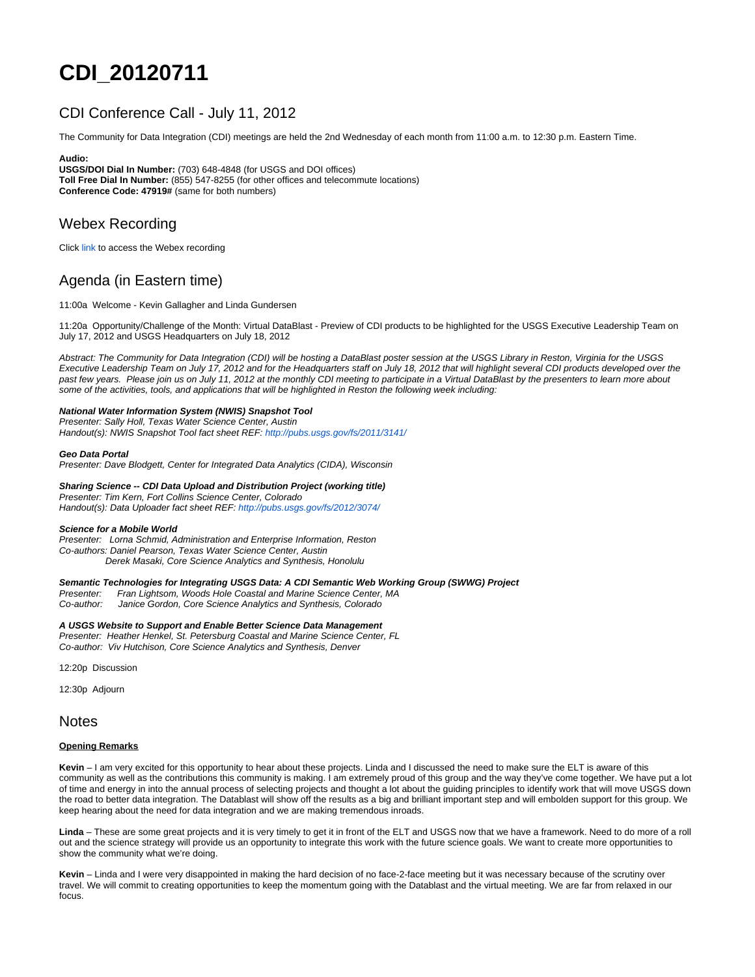# **CDI\_20120711**

# CDI Conference Call - July 11, 2012

The Community for Data Integration (CDI) meetings are held the 2nd Wednesday of each month from 11:00 a.m. to 12:30 p.m. Eastern Time.

#### **Audio:**

**USGS/DOI Dial In Number:** (703) 648-4848 (for USGS and DOI offices) **Toll Free Dial In Number:** (855) 547-8255 (for other offices and telecommute locations) **Conference Code: 47919#** (same for both numbers)

## Webex Recording

Click link to access the Webex recording

# Agenda (in Eastern time)

11:00a Welcome - Kevin Gallagher and Linda Gundersen

11:20a Opportunity/Challenge of the Month: Virtual DataBlast - Preview of CDI products to be highlighted for the USGS Executive Leadership Team on July 17, 2012 and USGS Headquarters on July 18, 2012

Abstract: The Community for Data Integration (CDI) will be hosting a DataBlast poster session at the USGS Library in Reston, Virginia for the USGS Executive Leadership Team on July 17, 2012 and for the Headquarters staff on July 18, 2012 that will highlight several CDI products developed over the past few years. Please join us on July 11, 2012 at the monthly CDI meeting to participate in a Virtual DataBlast by the presenters to learn more about some of the activities, tools, and applications that will be highlighted in Reston the following week including:

#### **National Water Information System (NWIS) Snapshot Tool**

Presenter: Sally Holl, Texas Water Science Center, Austin Handout(s): NWIS Snapshot Tool fact sheet REF: [http://pubs.usgs.gov/fs/2011/3141/](http://pubs.usgs.gov/fs/2011/3141/_)

#### **Geo Data Portal**

Presenter: Dave Blodgett, Center for Integrated Data Analytics (CIDA), Wisconsin

#### **Sharing Science -- CDI Data Upload and Distribution Project (working title)**

Presenter: Tim Kern, Fort Collins Science Center, Colorado Handout(s): Data Uploader fact sheet REF: <http://pubs.usgs.gov/fs/2012/3074/>

#### **Science for a Mobile World**

Presenter: Lorna Schmid, Administration and Enterprise Information, Reston Co-authors: Daniel Pearson, Texas Water Science Center, Austin Derek Masaki, Core Science Analytics and Synthesis, Honolulu

#### **Semantic Technologies for Integrating USGS Data: A CDI Semantic Web Working Group (SWWG) Project**

Presenter: Fran Lightsom, Woods Hole Coastal and Marine Science Center, MA Co-author: Janice Gordon, Core Science Analytics and Synthesis, Colorado

#### **A USGS Website to Support and Enable Better Science Data Management**

Presenter: Heather Henkel, St. Petersburg Coastal and Marine Science Center, FL Co-author: Viv Hutchison, Core Science Analytics and Synthesis, Denver

12:20p Discussion

12:30p Adjourn

### Notes

#### **Opening Remarks**

**Kevin** – I am very excited for this opportunity to hear about these projects. Linda and I discussed the need to make sure the ELT is aware of this community as well as the contributions this community is making. I am extremely proud of this group and the way they've come together. We have put a lot of time and energy in into the annual process of selecting projects and thought a lot about the guiding principles to identify work that will move USGS down the road to better data integration. The Datablast will show off the results as a big and brilliant important step and will embolden support for this group. We keep hearing about the need for data integration and we are making tremendous inroads.

**Linda** – These are some great projects and it is very timely to get it in front of the ELT and USGS now that we have a framework. Need to do more of a roll out and the science strategy will provide us an opportunity to integrate this work with the future science goals. We want to create more opportunities to show the community what we're doing.

**Kevin** – Linda and I were very disappointed in making the hard decision of no face-2-face meeting but it was necessary because of the scrutiny over travel. We will commit to creating opportunities to keep the momentum going with the Datablast and the virtual meeting. We are far from relaxed in our focus.